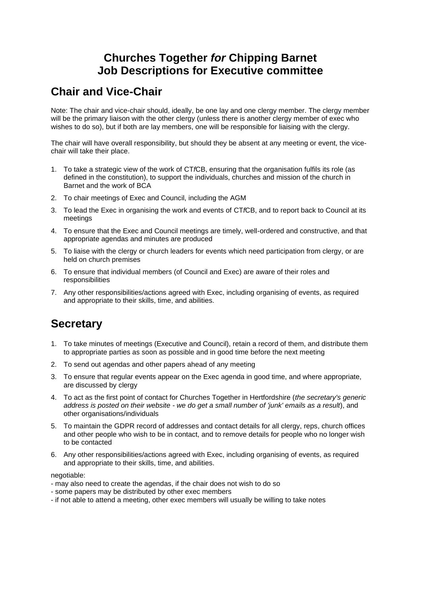### **Churches Together** *for* **Chipping Barnet Job Descriptions for Executive committee**

### **Chair and Vice-Chair**

Note: The chair and vice-chair should, ideally, be one lay and one clergy member. The clergy member will be the primary liaison with the other clergy (unless there is another clergy member of exec who wishes to do so), but if both are lay members, one will be responsible for liaising with the clergy.

The chair will have overall responsibility, but should they be absent at any meeting or event, the vicechair will take their place.

- 1. To take a strategic view of the work of CT*f*CB, ensuring that the organisation fulfils its role (as defined in the constitution), to support the individuals, churches and mission of the church in Barnet and the work of BCA
- 2. To chair meetings of Exec and Council, including the AGM
- 3. To lead the Exec in organising the work and events of CT*f*CB, and to report back to Council at its meetings
- 4. To ensure that the Exec and Council meetings are timely, well-ordered and constructive, and that appropriate agendas and minutes are produced
- 5. To liaise with the clergy or church leaders for events which need participation from clergy, or are held on church premises
- 6. To ensure that individual members (of Council and Exec) are aware of their roles and responsibilities
- 7. Any other responsibilities/actions agreed with Exec, including organising of events, as required and appropriate to their skills, time, and abilities.

## **Secretary**

- 1. To take minutes of meetings (Executive and Council), retain a record of them, and distribute them to appropriate parties as soon as possible and in good time before the next meeting
- 2. To send out agendas and other papers ahead of any meeting
- 3. To ensure that regular events appear on the Exec agenda in good time, and where appropriate, are discussed by clergy
- 4. To act as the first point of contact for Churches Together in Hertfordshire (*the secretary's generic address is posted on their website - we do get a small number of 'junk' emails as a result*), and other organisations/individuals
- 5. To maintain the GDPR record of addresses and contact details for all clergy, reps, church offices and other people who wish to be in contact, and to remove details for people who no longer wish to be contacted
- 6. Any other responsibilities/actions agreed with Exec, including organising of events, as required and appropriate to their skills, time, and abilities.

negotiable:

- may also need to create the agendas, if the chair does not wish to do so
- some papers may be distributed by other exec members
- if not able to attend a meeting, other exec members will usually be willing to take notes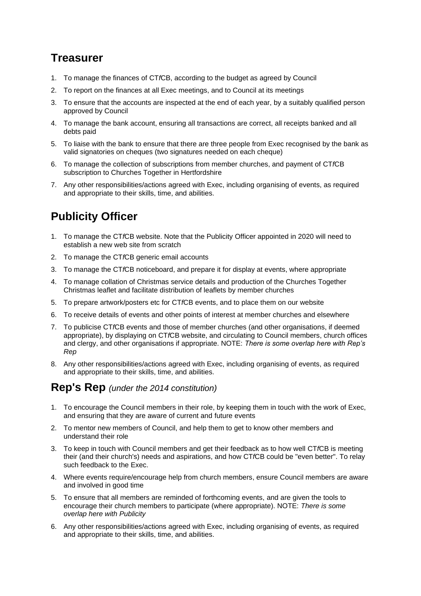## **Treasurer**

- 1. To manage the finances of CT*f*CB, according to the budget as agreed by Council
- 2. To report on the finances at all Exec meetings, and to Council at its meetings
- 3. To ensure that the accounts are inspected at the end of each year, by a suitably qualified person approved by Council
- 4. To manage the bank account, ensuring all transactions are correct, all receipts banked and all debts paid
- 5. To liaise with the bank to ensure that there are three people from Exec recognised by the bank as valid signatories on cheques (two signatures needed on each cheque)
- 6. To manage the collection of subscriptions from member churches, and payment of CT*f*CB subscription to Churches Together in Hertfordshire
- 7. Any other responsibilities/actions agreed with Exec, including organising of events, as required and appropriate to their skills, time, and abilities.

# **Publicity Officer**

- 1. To manage the CT*f*CB website. Note that the Publicity Officer appointed in 2020 will need to establish a new web site from scratch
- 2. To manage the CT*f*CB generic email accounts
- 3. To manage the CT*f*CB noticeboard, and prepare it for display at events, where appropriate
- 4. To manage collation of Christmas service details and production of the Churches Together Christmas leaflet and facilitate distribution of leaflets by member churches
- 5. To prepare artwork/posters etc for CT*f*CB events, and to place them on our website
- 6. To receive details of events and other points of interest at member churches and elsewhere
- 7. To publicise CT*f*CB events and those of member churches (and other organisations, if deemed appropriate), by displaying on CT*f*CB website, and circulating to Council members, church offices and clergy, and other organisations if appropriate. NOTE: *There is some overlap here with Rep's Rep*
- 8. Any other responsibilities/actions agreed with Exec, including organising of events, as required and appropriate to their skills, time, and abilities.

## **Rep's Rep** *(under the 2014 constitution)*

- 1. To encourage the Council members in their role, by keeping them in touch with the work of Exec, and ensuring that they are aware of current and future events
- 2. To mentor new members of Council, and help them to get to know other members and understand their role
- 3. To keep in touch with Council members and get their feedback as to how well CT*f*CB is meeting their (and their church's) needs and aspirations, and how CT*f*CB could be "even better". To relay such feedback to the Exec.
- 4. Where events require/encourage help from church members, ensure Council members are aware and involved in good time
- 5. To ensure that all members are reminded of forthcoming events, and are given the tools to encourage their church members to participate (where appropriate). NOTE: *There is some overlap here with Publicity*
- 6. Any other responsibilities/actions agreed with Exec, including organising of events, as required and appropriate to their skills, time, and abilities.